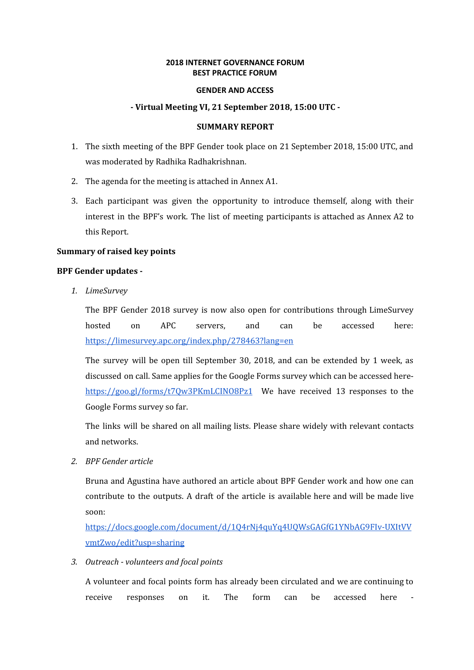## **2018 INTERNET GOVERNANCE FORUM BEST PRACTICE FORUM**

### **GENDER AND ACCESS**

## **- Virtual Meeting VI, 21 September 2018, 15:00 UTC -**

## **SUMMARY REPORT**

- 1. The sixth meeting of the BPF Gender took place on 21 September 2018, 15:00 UTC, and was moderated by Radhika Radhakrishnan.
- 2. The agenda for the meeting is attached in Annex A1.
- 3. Each participant was given the opportunity to introduce themself, along with their interest in the BPF's work. The list of meeting participants is attached as Annex A2 to this Report.

# **Summary of raised key points**

### **BPF Gender updates -**

*1. LimeSurvey*

The BPF Gender 2018 survey is now also open for contributions through LimeSurvey hosted on APC servers, and can be accessed here: <https://limesurvey.apc.org/index.php/278463?lang=en>

The survey will be open till September 30, 2018, and can be extended by 1 week, as discussed on call. Same applies for the Google Forms survey which can be accessed here<https://goo.gl/forms/t7Qw3PKmLCINO8Pz1> We have received 13 responses to the Google Forms survey so far.

The links will be shared on all mailing lists. Please share widely with relevant contacts and networks.

*2. BPF Gender article*

Bruna and Agustina have authored an article about BPF Gender work and how one can contribute to the outputs. A draft of the article is available here and will be made live soon:

[https://docs.google.com/document/d/1Q4rNj4quYq4UQWsGAGfG1YNbAG9FIv-UXItVV](https://docs.google.com/document/d/1Q4rNj4quYq4UQWsGAGfG1YNbAG9FIv-UXItVVvmtZwo/edit?usp=sharing) [vmtZwo/edit?usp=sharing](https://docs.google.com/document/d/1Q4rNj4quYq4UQWsGAGfG1YNbAG9FIv-UXItVVvmtZwo/edit?usp=sharing)

*3. Outreach - volunteers and focal points*

A volunteer and focal points form has already been circulated and we are continuing to receive responses on it. The form can be accessed here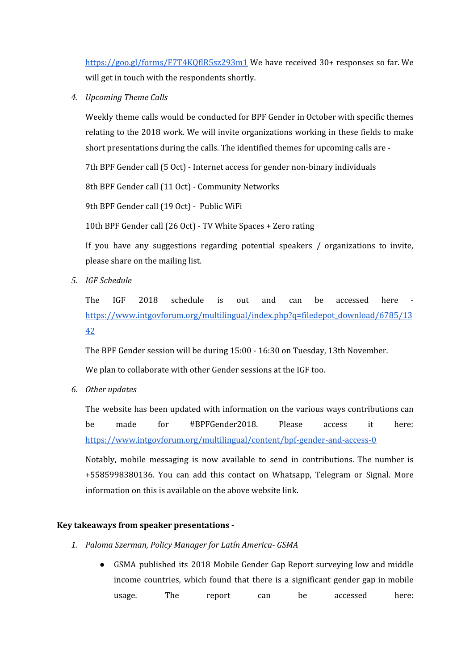<https://goo.gl/forms/F7T4KQflR5sz293m1> We have received 30+ responses so far. We will get in touch with the respondents shortly.

*4. Upcoming Theme Calls*

Weekly theme calls would be conducted for BPF Gender in October with specific themes relating to the 2018 work. We will invite organizations working in these fields to make short presentations during the calls. The identified themes for upcoming calls are -

7th BPF Gender call (5 Oct) - Internet access for gender non-binary individuals

8th BPF Gender call (11 Oct) - Community Networks

9th BPF Gender call (19 Oct) - Public WiFi

10th BPF Gender call (26 Oct) - TV White Spaces + Zero rating

If you have any suggestions regarding potential speakers / organizations to invite, please share on the mailing list.

*5. IGF Schedule*

The IGF 2018 schedule is out and can be accessed here [https://www.intgovforum.org/multilingual/index.php?q=filedepot\\_download/6785/13](https://www.intgovforum.org/multilingual/index.php?q=filedepot_download/6785/1342) [42](https://www.intgovforum.org/multilingual/index.php?q=filedepot_download/6785/1342)

The BPF Gender session will be during 15:00 - 16:30 on Tuesday, 13th November.

We plan to collaborate with other Gender sessions at the IGF too.

*6. Other updates*

The website has been updated with information on the various ways contributions can be made for #BPFGender2018. Please access it here: <https://www.intgovforum.org/multilingual/content/bpf-gender-and-access-0>

Notably, mobile messaging is now available to send in contributions. The number is +5585998380136. You can add this contact on Whatsapp, Telegram or Signal. More information on this is available on the above website link.

# **Key takeaways from speaker presentations -**

- *1. Paloma Szerman, Policy Manager for Latín America- GSMA*
	- GSMA published its 2018 Mobile Gender Gap Report surveying low and middle income countries, which found that there is a significant gender gap in mobile usage. The report can be accessed here: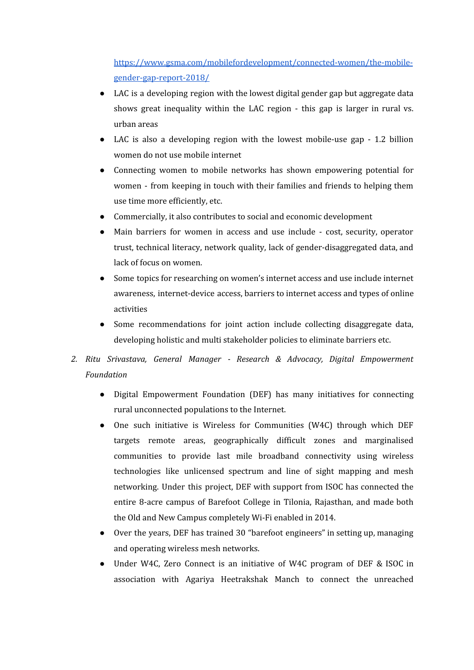[https://www.gsma.com/mobilefordevelopment/connected-women/the-mobile](https://www.gsma.com/mobilefordevelopment/connected-women/the-mobile-gender-gap-report-2018/)[gender-gap-report-2018/](https://www.gsma.com/mobilefordevelopment/connected-women/the-mobile-gender-gap-report-2018/)

- LAC is a developing region with the lowest digital gender gap but aggregate data shows great inequality within the LAC region - this gap is larger in rural vs. urban areas
- LAC is also a developing region with the lowest mobile-use gap 1.2 billion women do not use mobile internet
- Connecting women to mobile networks has shown empowering potential for women - from keeping in touch with their families and friends to helping them use time more efficiently, etc.
- Commercially, it also contributes to social and economic development
- Main barriers for women in access and use include cost, security, operator trust, technical literacy, network quality, lack of gender-disaggregated data, and lack of focus on women.
- Some topics for researching on women's internet access and use include internet awareness, internet-device access, barriers to internet access and types of online activities
- Some recommendations for joint action include collecting disaggregate data, developing holistic and multi stakeholder policies to eliminate barriers etc.
- *2. Ritu Srivastava, General Manager - Research & Advocacy, Digital Empowerment Foundation*
	- Digital Empowerment Foundation (DEF) has many initiatives for connecting rural unconnected populations to the Internet.
	- One such initiative is Wireless for Communities (W4C) through which DEF targets remote areas, geographically difficult zones and marginalised communities to provide last mile broadband connectivity using wireless technologies like unlicensed spectrum and line of sight mapping and mesh networking. Under this project, DEF with support from ISOC has connected the entire 8-acre campus of Barefoot College in Tilonia, Rajasthan, and made both the Old and New Campus completely Wi-Fi enabled in 2014.
	- Over the years, DEF has trained 30 "barefoot engineers" in setting up, managing and operating wireless mesh networks.
	- Under W4C, Zero Connect is an initiative of W4C program of DEF & ISOC in association with Agariya Heetrakshak Manch to connect the unreached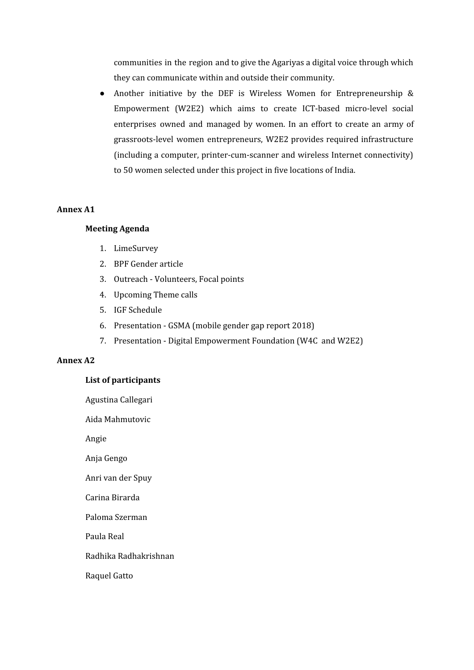communities in the region and to give the Agariyas a digital voice through which they can communicate within and outside their community.

● Another initiative by the DEF is Wireless Women for Entrepreneurship & Empowerment (W2E2) which aims to create ICT-based micro-level social enterprises owned and managed by women. In an effort to create an army of grassroots-level women entrepreneurs, W2E2 provides required infrastructure (including a computer, printer-cum-scanner and wireless Internet connectivity) to 50 women selected under this project in five locations of India.

# **Annex A1**

## **Meeting Agenda**

- 1. LimeSurvey
- 2. BPF Gender article
- 3. Outreach Volunteers, Focal points
- 4. Upcoming Theme calls
- 5. IGF Schedule
- 6. Presentation GSMA (mobile gender gap report 2018)
- 7. Presentation Digital Empowerment Foundation (W4C and W2E2)

# **Annex A2**

### **List of participants**

| Agustina Callegari    |
|-----------------------|
| Aida Mahmutovic       |
| Angie                 |
| Anja Gengo            |
| Anri van der Spuy     |
| Carina Birarda        |
| Paloma Szerman        |
| Paula Real            |
| Radhika Radhakrishnan |
| Raquel Gatto          |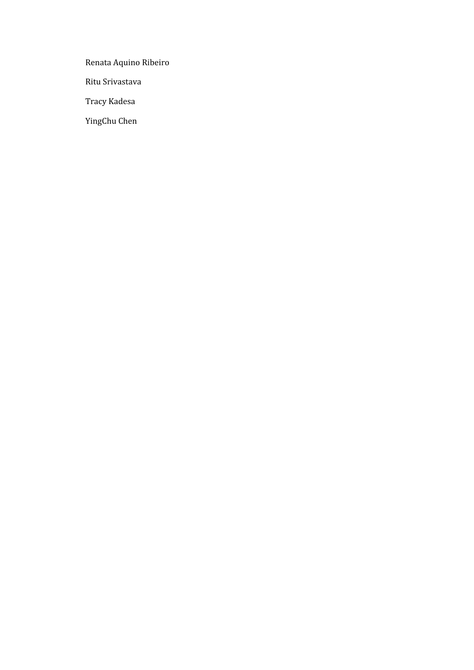Renata Aquino Ribeiro

Ritu Srivastava

Tracy Kadesa

YingChu Chen